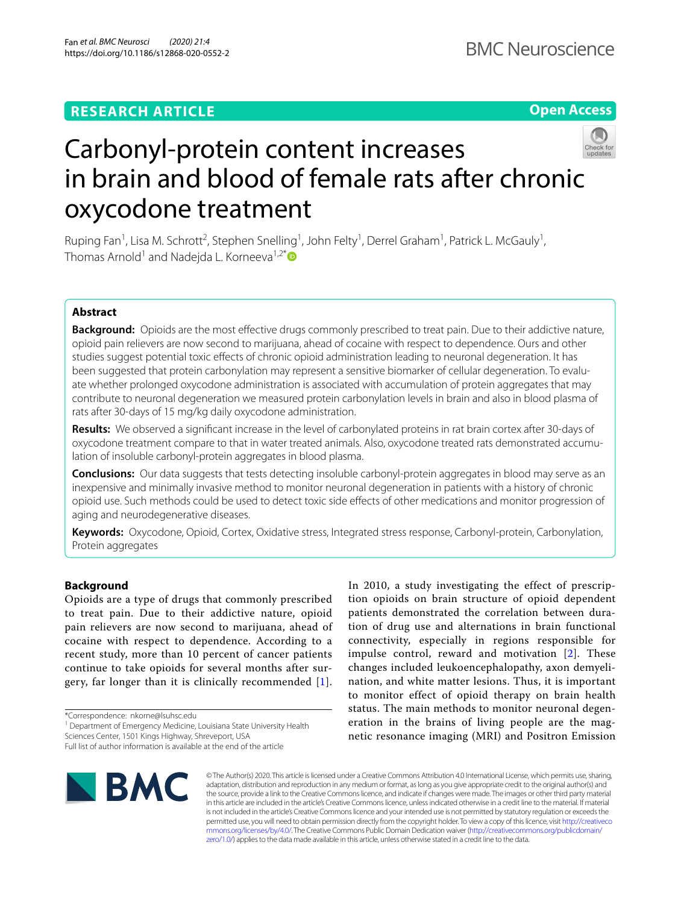## **RESEARCH ARTICLE**

**Open Access**



# Carbonyl-protein content increases in brain and blood of female rats after chronic oxycodone treatment

Ruping Fan<sup>1</sup>, Lisa M. Schrott<sup>2</sup>, Stephen Snelling<sup>1</sup>, John Felty<sup>1</sup>, Derrel Graham<sup>1</sup>, Patrick L. McGauly<sup>1</sup>, Thomas Arnold<sup>1</sup> and Nadejda L. Korneeva<sup>1,2[\\*](http://orcid.org/0000-0002-4915-3118)</sup>

## **Abstract**

**Background:** Opioids are the most efective drugs commonly prescribed to treat pain. Due to their addictive nature, opioid pain relievers are now second to marijuana, ahead of cocaine with respect to dependence. Ours and other studies suggest potential toxic efects of chronic opioid administration leading to neuronal degeneration. It has been suggested that protein carbonylation may represent a sensitive biomarker of cellular degeneration. To evaluate whether prolonged oxycodone administration is associated with accumulation of protein aggregates that may contribute to neuronal degeneration we measured protein carbonylation levels in brain and also in blood plasma of rats after 30-days of 15 mg/kg daily oxycodone administration.

**Results:** We observed a signifcant increase in the level of carbonylated proteins in rat brain cortex after 30-days of oxycodone treatment compare to that in water treated animals. Also, oxycodone treated rats demonstrated accumulation of insoluble carbonyl-protein aggregates in blood plasma.

**Conclusions:** Our data suggests that tests detecting insoluble carbonyl-protein aggregates in blood may serve as an inexpensive and minimally invasive method to monitor neuronal degeneration in patients with a history of chronic opioid use. Such methods could be used to detect toxic side efects of other medications and monitor progression of aging and neurodegenerative diseases.

**Keywords:** Oxycodone, Opioid, Cortex, Oxidative stress, Integrated stress response, Carbonyl-protein, Carbonylation, Protein aggregates

## **Background**

Opioids are a type of drugs that commonly prescribed to treat pain. Due to their addictive nature, opioid pain relievers are now second to marijuana, ahead of cocaine with respect to dependence. According to a recent study, more than 10 percent of cancer patients continue to take opioids for several months after surgery, far longer than it is clinically recommended [[1\]](#page-7-0).

\*Correspondence: nkorne@lsuhsc.edu

<sup>1</sup> Department of Emergency Medicine, Louisiana State University Health Sciences Center, 1501 Kings Highway, Shreveport, USA

In 2010, a study investigating the effect of prescription opioids on brain structure of opioid dependent patients demonstrated the correlation between duration of drug use and alternations in brain functional connectivity, especially in regions responsible for impulse control, reward and motivation [\[2\]](#page-7-1). These changes included leukoencephalopathy, axon demyelination, and white matter lesions. Thus, it is important to monitor effect of opioid therapy on brain health status. The main methods to monitor neuronal degeneration in the brains of living people are the magnetic resonance imaging (MRI) and Positron Emission



© The Author(s) 2020. This article is licensed under a Creative Commons Attribution 4.0 International License, which permits use, sharing, adaptation, distribution and reproduction in any medium or format, as long as you give appropriate credit to the original author(s) and the source, provide a link to the Creative Commons licence, and indicate if changes were made. The images or other third party material in this article are included in the article's Creative Commons licence, unless indicated otherwise in a credit line to the material. If material is not included in the article's Creative Commons licence and your intended use is not permitted by statutory regulation or exceeds the permitted use, you will need to obtain permission directly from the copyright holder. To view a copy of this licence, visit [http://creativeco](http://creativecommons.org/licenses/by/4.0/) [mmons.org/licenses/by/4.0/.](http://creativecommons.org/licenses/by/4.0/) The Creative Commons Public Domain Dedication waiver ([http://creativecommons.org/publicdomain/](http://creativecommons.org/publicdomain/zero/1.0/) [zero/1.0/\)](http://creativecommons.org/publicdomain/zero/1.0/) applies to the data made available in this article, unless otherwise stated in a credit line to the data.

Full list of author information is available at the end of the article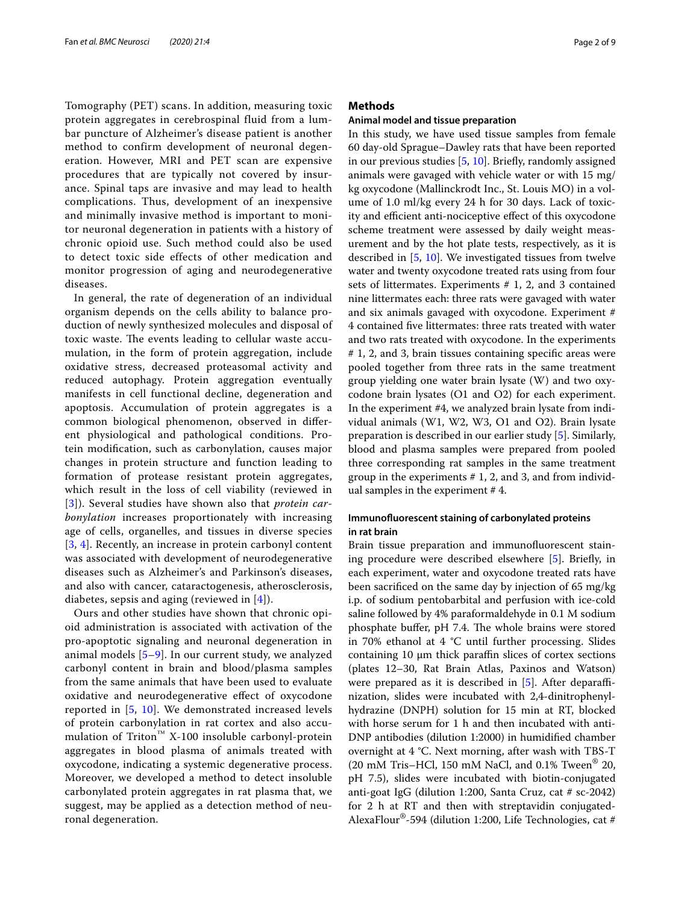Tomography (PET) scans. In addition, measuring toxic protein aggregates in cerebrospinal fluid from a lumbar puncture of Alzheimer's disease patient is another method to confirm development of neuronal degeneration. However, MRI and PET scan are expensive procedures that are typically not covered by insurance. Spinal taps are invasive and may lead to health complications. Thus, development of an inexpensive and minimally invasive method is important to monitor neuronal degeneration in patients with a history of chronic opioid use. Such method could also be used to detect toxic side effects of other medication and monitor progression of aging and neurodegenerative diseases.

In general, the rate of degeneration of an individual organism depends on the cells ability to balance production of newly synthesized molecules and disposal of toxic waste. The events leading to cellular waste accumulation, in the form of protein aggregation, include oxidative stress, decreased proteasomal activity and reduced autophagy. Protein aggregation eventually manifests in cell functional decline, degeneration and apoptosis. Accumulation of protein aggregates is a common biological phenomenon, observed in diferent physiological and pathological conditions. Protein modifcation, such as carbonylation, causes major changes in protein structure and function leading to formation of protease resistant protein aggregates, which result in the loss of cell viability (reviewed in [[3](#page-7-2)]). Several studies have shown also that *protein carbonylation* increases proportionately with increasing age of cells, organelles, and tissues in diverse species [[3](#page-7-2), [4](#page-7-3)]. Recently, an increase in protein carbonyl content was associated with development of neurodegenerative diseases such as Alzheimer's and Parkinson's diseases, and also with cancer, cataractogenesis, atherosclerosis, diabetes, sepsis and aging (reviewed in [[4](#page-7-3)]).

Ours and other studies have shown that chronic opioid administration is associated with activation of the pro-apoptotic signaling and neuronal degeneration in animal models [\[5](#page-7-4)–[9\]](#page-7-5). In our current study, we analyzed carbonyl content in brain and blood/plasma samples from the same animals that have been used to evaluate oxidative and neurodegenerative efect of oxycodone reported in [[5,](#page-7-4) [10\]](#page-7-6). We demonstrated increased levels of protein carbonylation in rat cortex and also accumulation of Triton™ X-100 insoluble carbonyl-protein aggregates in blood plasma of animals treated with oxycodone, indicating a systemic degenerative process. Moreover, we developed a method to detect insoluble carbonylated protein aggregates in rat plasma that, we suggest, may be applied as a detection method of neuronal degeneration.

## **Methods**

## **Animal model and tissue preparation**

In this study, we have used tissue samples from female 60 day-old Sprague–Dawley rats that have been reported in our previous studies [[5,](#page-7-4) [10](#page-7-6)]. Briefy, randomly assigned animals were gavaged with vehicle water or with 15 mg/ kg oxycodone (Mallinckrodt Inc., St. Louis MO) in a volume of 1.0 ml/kg every 24 h for 30 days. Lack of toxicity and efficient anti-nociceptive effect of this oxycodone scheme treatment were assessed by daily weight measurement and by the hot plate tests, respectively, as it is described in [[5,](#page-7-4) [10\]](#page-7-6). We investigated tissues from twelve water and twenty oxycodone treated rats using from four sets of littermates. Experiments # 1, 2, and 3 contained nine littermates each: three rats were gavaged with water and six animals gavaged with oxycodone. Experiment # 4 contained fve littermates: three rats treated with water and two rats treated with oxycodone. In the experiments # 1, 2, and 3, brain tissues containing specifc areas were pooled together from three rats in the same treatment group yielding one water brain lysate (W) and two oxycodone brain lysates (O1 and O2) for each experiment. In the experiment #4, we analyzed brain lysate from individual animals (W1, W2, W3, O1 and O2). Brain lysate preparation is described in our earlier study [[5\]](#page-7-4). Similarly, blood and plasma samples were prepared from pooled three corresponding rat samples in the same treatment group in the experiments  $# 1, 2$ , and 3, and from individual samples in the experiment # 4.

## **Immunofuorescent staining of carbonylated proteins in rat brain**

Brain tissue preparation and immunofuorescent staining procedure were described elsewhere [\[5](#page-7-4)]. Briefy, in each experiment, water and oxycodone treated rats have been sacrifced on the same day by injection of 65 mg/kg i.p. of sodium pentobarbital and perfusion with ice-cold saline followed by 4% paraformaldehyde in 0.1 M sodium phosphate buffer, pH 7.4. The whole brains were stored in 70% ethanol at 4 °C until further processing. Slides containing  $10 \mu m$  thick paraffin slices of cortex sections (plates 12–30, Rat Brain Atlas, Paxinos and Watson) were prepared as it is described in  $[5]$  $[5]$ . After deparaffinization, slides were incubated with 2,4-dinitrophenylhydrazine (DNPH) solution for 15 min at RT, blocked with horse serum for 1 h and then incubated with anti-DNP antibodies (dilution 1:2000) in humidifed chamber overnight at 4 °C. Next morning, after wash with TBS-T (20 mM Tris–HCl, 150 mM NaCl, and 0.1% Tween<sup>®</sup> 20, pH 7.5), slides were incubated with biotin-conjugated anti-goat IgG (dilution 1:200, Santa Cruz, cat # sc-2042) for 2 h at RT and then with streptavidin conjugated-AlexaFlour®-594 (dilution 1:200, Life Technologies, cat #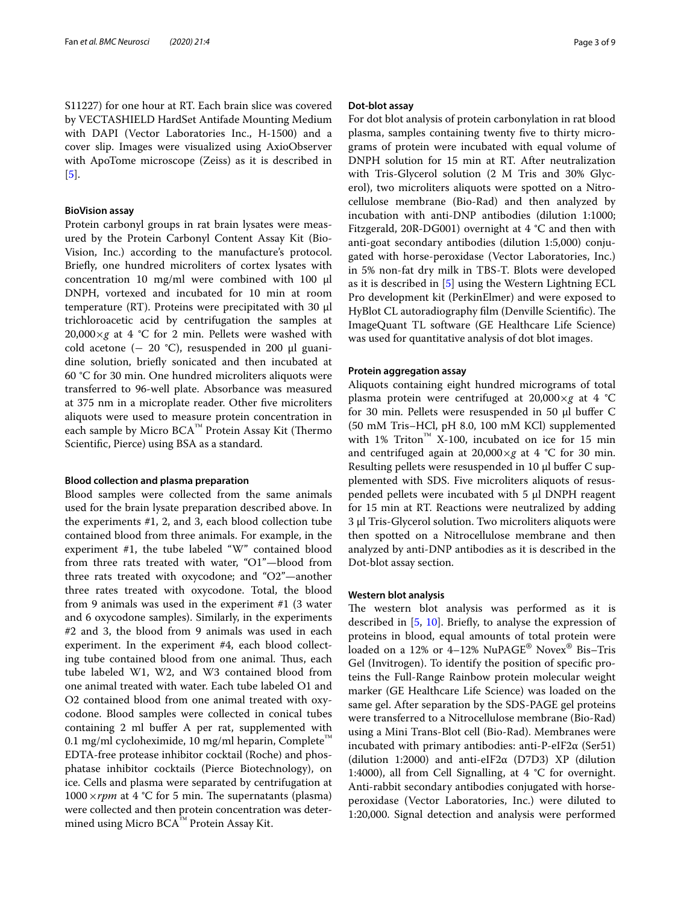S11227) for one hour at RT. Each brain slice was covered by VECTASHIELD HardSet Antifade Mounting Medium with DAPI (Vector Laboratories Inc., H-1500) and a cover slip. Images were visualized using AxioObserver with ApoTome microscope (Zeiss) as it is described in [[5\]](#page-7-4).

## **BioVision assay**

Protein carbonyl groups in rat brain lysates were measured by the Protein Carbonyl Content Assay Kit (Bio-Vision, Inc.) according to the manufacture's protocol. Briefy, one hundred microliters of cortex lysates with concentration 10  $mg/ml$  were combined with 100  $µ$ DNPH, vortexed and incubated for 10 min at room temperature (RT). Proteins were precipitated with 30 µl trichloroacetic acid by centrifugation the samples at  $20,000\times g$  at 4 °C for 2 min. Pellets were washed with cold acetone ( $-$  20 °C), resuspended in 200  $\mu$ l guanidine solution, briefy sonicated and then incubated at 60 °C for 30 min. One hundred microliters aliquots were transferred to 96-well plate. Absorbance was measured at 375 nm in a microplate reader. Other fve microliters aliquots were used to measure protein concentration in each sample by Micro  $BCA^{m}$  Protein Assay Kit (Thermo Scientifc, Pierce) using BSA as a standard.

## **Blood collection and plasma preparation**

Blood samples were collected from the same animals used for the brain lysate preparation described above. In the experiments #1, 2, and 3, each blood collection tube contained blood from three animals. For example, in the experiment #1, the tube labeled "W" contained blood from three rats treated with water, "O1"—blood from three rats treated with oxycodone; and "O2"—another three rates treated with oxycodone. Total, the blood from 9 animals was used in the experiment #1 (3 water and 6 oxycodone samples). Similarly, in the experiments #2 and 3, the blood from 9 animals was used in each experiment. In the experiment #4, each blood collecting tube contained blood from one animal. Thus, each tube labeled W1, W2, and W3 contained blood from one animal treated with water. Each tube labeled O1 and O2 contained blood from one animal treated with oxycodone. Blood samples were collected in conical tubes containing 2 ml bufer A per rat, supplemented with 0.1 mg/ml cycloheximide, 10 mg/ml heparin, Complete<sup>™</sup> EDTA-free protease inhibitor cocktail (Roche) and phosphatase inhibitor cocktails (Pierce Biotechnology), on ice. Cells and plasma were separated by centrifugation at  $1000 \times rpm$  at 4 °C for 5 min. The supernatants (plasma) were collected and then protein concentration was determined using Micro BCA™ Protein Assay Kit.

## **Dot‑blot assay**

For dot blot analysis of protein carbonylation in rat blood plasma, samples containing twenty fve to thirty micrograms of protein were incubated with equal volume of DNPH solution for 15 min at RT. After neutralization with Tris-Glycerol solution (2 M Tris and 30% Glycerol), two microliters aliquots were spotted on a Nitrocellulose membrane (Bio-Rad) and then analyzed by incubation with anti-DNP antibodies (dilution 1:1000; Fitzgerald, 20R-DG001) overnight at 4 °C and then with anti-goat secondary antibodies (dilution 1:5,000) conjugated with horse-peroxidase (Vector Laboratories, Inc.) in 5% non-fat dry milk in TBS-T. Blots were developed as it is described in [[5\]](#page-7-4) using the Western Lightning ECL Pro development kit (PerkinElmer) and were exposed to HyBlot CL autoradiography film (Denville Scientific). The ImageQuant TL software (GE Healthcare Life Science) was used for quantitative analysis of dot blot images.

## **Protein aggregation assay**

Aliquots containing eight hundred micrograms of total plasma protein were centrifuged at 20,000×*g* at 4 °C for 30 min. Pellets were resuspended in 50 µl bufer C (50 mM Tris–HCl, pH 8.0, 100 mM KCl) supplemented with 1% Triton<sup>™</sup> X-100, incubated on ice for 15 min and centrifuged again at  $20,000 \times g$  at 4 °C for 30 min. Resulting pellets were resuspended in 10 µl buffer C supplemented with SDS. Five microliters aliquots of resuspended pellets were incubated with 5 µl DNPH reagent for 15 min at RT. Reactions were neutralized by adding 3 µl Tris-Glycerol solution. Two microliters aliquots were then spotted on a Nitrocellulose membrane and then analyzed by anti-DNP antibodies as it is described in the Dot-blot assay section.

## **Western blot analysis**

The western blot analysis was performed as it is described in [\[5](#page-7-4), [10\]](#page-7-6). Briefy, to analyse the expression of proteins in blood, equal amounts of total protein were loaded on a 12% or 4–12% NuPAGE<sup>®</sup> Novex<sup>®</sup> Bis–Tris Gel (Invitrogen). To identify the position of specifc proteins the Full-Range Rainbow protein molecular weight marker (GE Healthcare Life Science) was loaded on the same gel. After separation by the SDS-PAGE gel proteins were transferred to a Nitrocellulose membrane (Bio-Rad) using a Mini Trans-Blot cell (Bio-Rad). Membranes were incubated with primary antibodies: anti-P-eIF2 $\alpha$  (Ser51) (dilution 1:2000) and anti-eIF2α (D7D3) XP (dilution 1:4000), all from Cell Signalling, at 4 °C for overnight. Anti-rabbit secondary antibodies conjugated with horseperoxidase (Vector Laboratories, Inc.) were diluted to 1:20,000. Signal detection and analysis were performed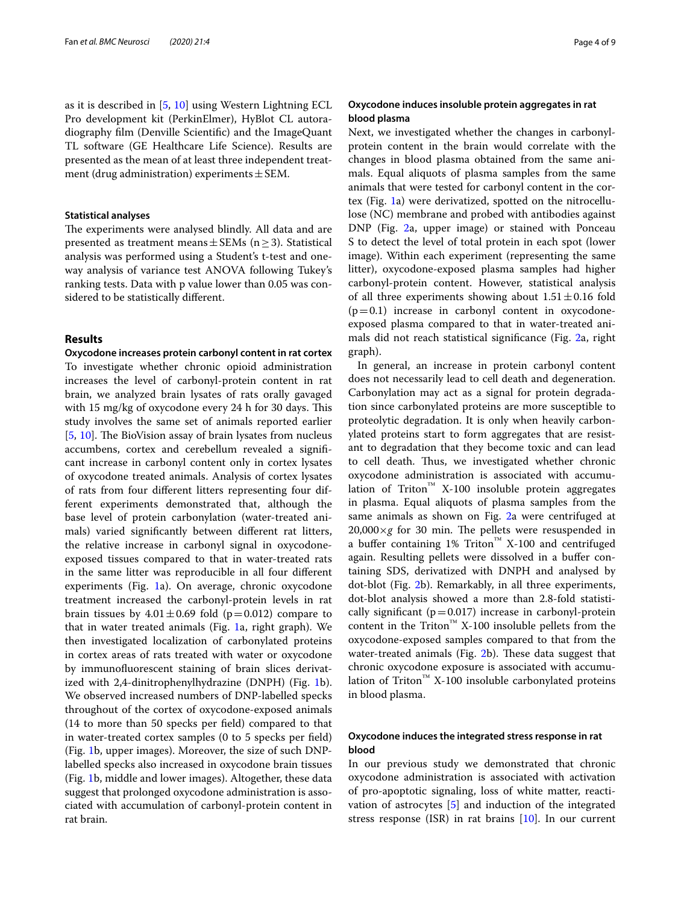as it is described in [\[5](#page-7-4), [10](#page-7-6)] using Western Lightning ECL Pro development kit (PerkinElmer), HyBlot CL autoradiography flm (Denville Scientifc) and the ImageQuant TL software (GE Healthcare Life Science). Results are presented as the mean of at least three independent treatment (drug administration) experiments  $\pm$  SEM.

## **Statistical analyses**

The experiments were analysed blindly. All data and are presented as treatment means  $\pm$  SEMs (n  $\geq$  3). Statistical analysis was performed using a Student's t-test and oneway analysis of variance test ANOVA following Tukey's ranking tests. Data with p value lower than 0.05 was considered to be statistically diferent.

## **Results**

**Oxycodone increases protein carbonyl content in rat cortex** To investigate whether chronic opioid administration increases the level of carbonyl-protein content in rat brain, we analyzed brain lysates of rats orally gavaged with 15 mg/kg of oxycodone every 24 h for 30 days. This study involves the same set of animals reported earlier [[5,](#page-7-4) [10\]](#page-7-6). The BioVision assay of brain lysates from nucleus accumbens, cortex and cerebellum revealed a signifcant increase in carbonyl content only in cortex lysates of oxycodone treated animals. Analysis of cortex lysates of rats from four diferent litters representing four different experiments demonstrated that, although the base level of protein carbonylation (water-treated animals) varied signifcantly between diferent rat litters, the relative increase in carbonyl signal in oxycodoneexposed tissues compared to that in water-treated rats in the same litter was reproducible in all four diferent experiments (Fig. [1a](#page-4-0)). On average, chronic oxycodone treatment increased the carbonyl-protein levels in rat brain tissues by  $4.01 \pm 0.69$  fold (p=0.012) compare to that in water treated animals (Fig. [1a](#page-4-0), right graph). We then investigated localization of carbonylated proteins in cortex areas of rats treated with water or oxycodone by immunofuorescent staining of brain slices derivatized with 2,4-dinitrophenylhydrazine (DNPH) (Fig. [1b](#page-4-0)). We observed increased numbers of DNP-labelled specks throughout of the cortex of oxycodone-exposed animals (14 to more than 50 specks per feld) compared to that in water-treated cortex samples (0 to 5 specks per feld) (Fig. [1](#page-4-0)b, upper images). Moreover, the size of such DNPlabelled specks also increased in oxycodone brain tissues (Fig. [1b](#page-4-0), middle and lower images). Altogether, these data suggest that prolonged oxycodone administration is associated with accumulation of carbonyl-protein content in rat brain.

## **Oxycodone induces insoluble protein aggregates in rat blood plasma**

Next, we investigated whether the changes in carbonylprotein content in the brain would correlate with the changes in blood plasma obtained from the same animals. Equal aliquots of plasma samples from the same animals that were tested for carbonyl content in the cortex (Fig. [1a](#page-4-0)) were derivatized, spotted on the nitrocellulose (NC) membrane and probed with antibodies against DNP (Fig. [2](#page-5-0)a, upper image) or stained with Ponceau S to detect the level of total protein in each spot (lower image). Within each experiment (representing the same litter), oxycodone-exposed plasma samples had higher carbonyl-protein content. However, statistical analysis of all three experiments showing about  $1.51 \pm 0.16$  fold  $(p=0.1)$  increase in carbonyl content in oxycodoneexposed plasma compared to that in water-treated animals did not reach statistical signifcance (Fig. [2](#page-5-0)a, right graph).

In general, an increase in protein carbonyl content does not necessarily lead to cell death and degeneration. Carbonylation may act as a signal for protein degradation since carbonylated proteins are more susceptible to proteolytic degradation. It is only when heavily carbonylated proteins start to form aggregates that are resistant to degradation that they become toxic and can lead to cell death. Thus, we investigated whether chronic oxycodone administration is associated with accumulation of Triton<sup>™</sup> X-100 insoluble protein aggregates in plasma. Equal aliquots of plasma samples from the same animals as shown on Fig. [2a](#page-5-0) were centrifuged at  $20,000\times g$  for 30 min. The pellets were resuspended in a buffer containing 1% Triton<sup>™</sup> X-100 and centrifuged again. Resulting pellets were dissolved in a bufer containing SDS, derivatized with DNPH and analysed by dot-blot (Fig. [2b](#page-5-0)). Remarkably, in all three experiments, dot-blot analysis showed a more than 2.8-fold statistically significant ( $p=0.017$ ) increase in carbonyl-protein content in the Triton<sup>™</sup> X-100 insoluble pellets from the oxycodone-exposed samples compared to that from the water-treated animals (Fig. [2b](#page-5-0)). These data suggest that chronic oxycodone exposure is associated with accumulation of Triton<sup>™</sup> X-100 insoluble carbonylated proteins in blood plasma.

## **Oxycodone induces the integrated stress response in rat blood**

In our previous study we demonstrated that chronic oxycodone administration is associated with activation of pro-apoptotic signaling, loss of white matter, reactivation of astrocytes [\[5](#page-7-4)] and induction of the integrated stress response (ISR) in rat brains [\[10](#page-7-6)]. In our current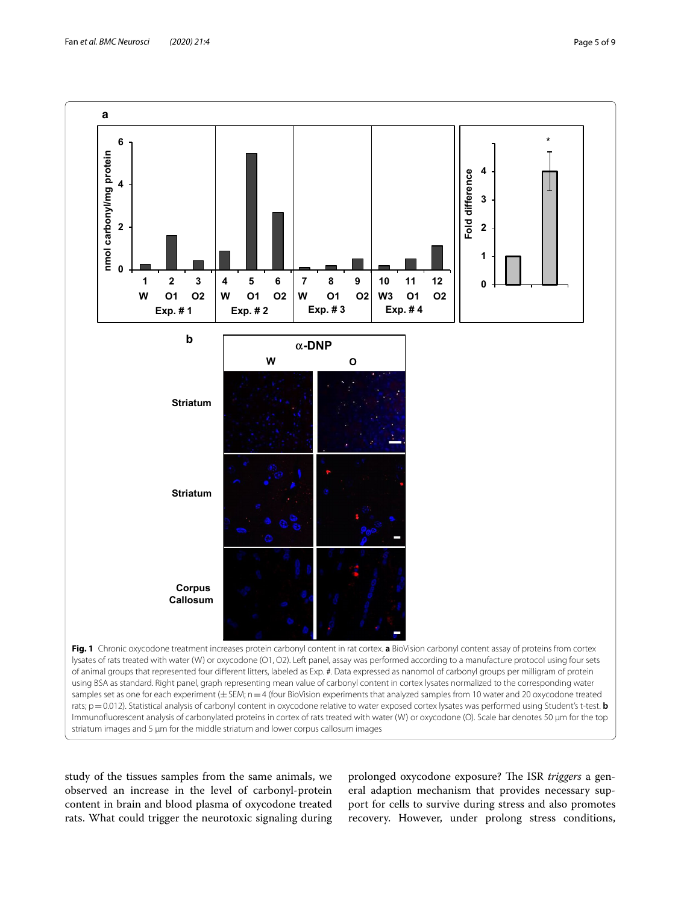

<span id="page-4-0"></span>study of the tissues samples from the same animals, we observed an increase in the level of carbonyl-protein content in brain and blood plasma of oxycodone treated rats. What could trigger the neurotoxic signaling during

prolonged oxycodone exposure? The ISR *triggers* a general adaption mechanism that provides necessary support for cells to survive during stress and also promotes recovery. However, under prolong stress conditions,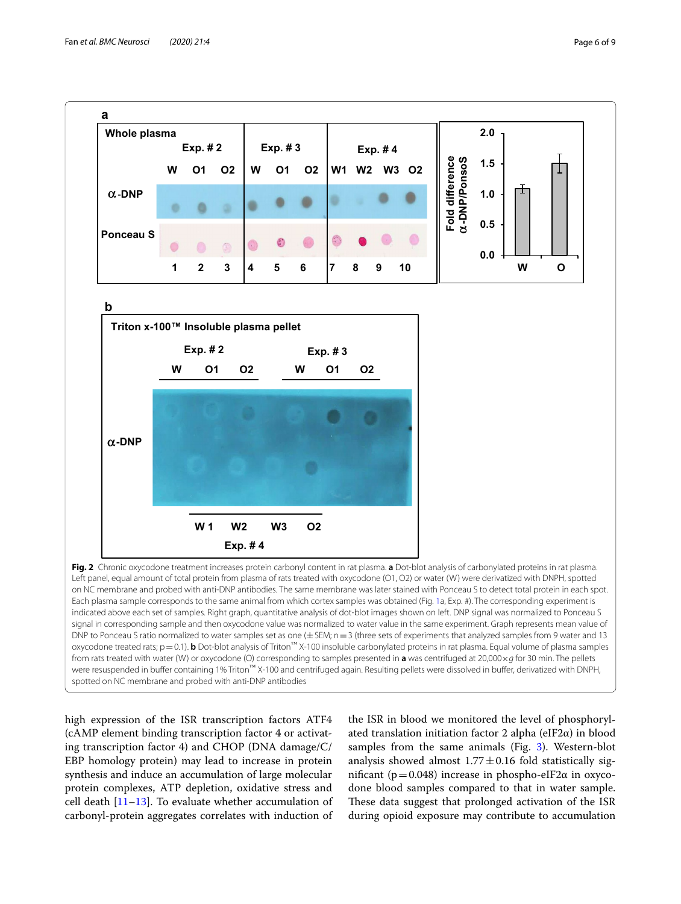

<span id="page-5-0"></span>high expression of the ISR transcription factors ATF4 (cAMP element binding transcription factor 4 or activating transcription factor 4) and CHOP (DNA damage/C/ EBP homology protein) may lead to increase in protein synthesis and induce an accumulation of large molecular protein complexes, ATP depletion, oxidative stress and cell death  $[11-13]$  $[11-13]$  $[11-13]$ . To evaluate whether accumulation of carbonyl-protein aggregates correlates with induction of

the ISR in blood we monitored the level of phosphorylated translation initiation factor 2 alpha (eIF2 $\alpha$ ) in blood samples from the same animals (Fig. [3](#page-6-0)). Western-blot analysis showed almost  $1.77 \pm 0.16$  fold statistically significant ( $p=0.048$ ) increase in phospho-eIF2α in oxycodone blood samples compared to that in water sample. These data suggest that prolonged activation of the ISR during opioid exposure may contribute to accumulation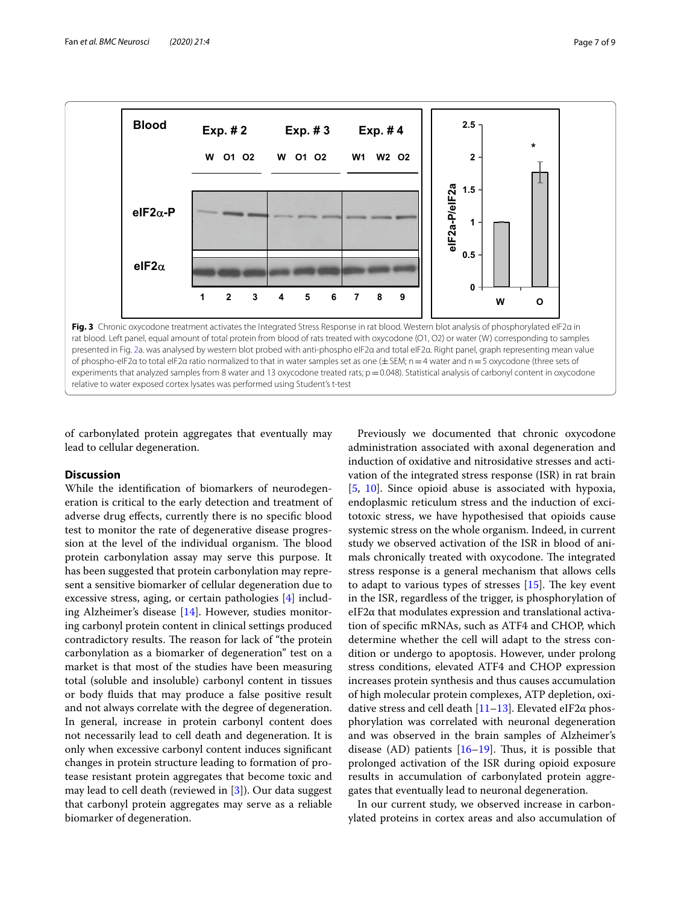

<span id="page-6-0"></span>of carbonylated protein aggregates that eventually may lead to cellular degeneration.

## **Discussion**

While the identifcation of biomarkers of neurodegeneration is critical to the early detection and treatment of adverse drug efects, currently there is no specifc blood test to monitor the rate of degenerative disease progression at the level of the individual organism. The blood protein carbonylation assay may serve this purpose. It has been suggested that protein carbonylation may represent a sensitive biomarker of cellular degeneration due to excessive stress, aging, or certain pathologies [\[4\]](#page-7-3) including Alzheimer's disease [[14\]](#page-7-9). However, studies monitoring carbonyl protein content in clinical settings produced contradictory results. The reason for lack of "the protein carbonylation as a biomarker of degeneration" test on a market is that most of the studies have been measuring total (soluble and insoluble) carbonyl content in tissues or body fuids that may produce a false positive result and not always correlate with the degree of degeneration. In general, increase in protein carbonyl content does not necessarily lead to cell death and degeneration. It is only when excessive carbonyl content induces signifcant changes in protein structure leading to formation of protease resistant protein aggregates that become toxic and may lead to cell death (reviewed in [[3\]](#page-7-2)). Our data suggest that carbonyl protein aggregates may serve as a reliable biomarker of degeneration.

Previously we documented that chronic oxycodone administration associated with axonal degeneration and induction of oxidative and nitrosidative stresses and activation of the integrated stress response (ISR) in rat brain [[5,](#page-7-4) [10](#page-7-6)]. Since opioid abuse is associated with hypoxia, endoplasmic reticulum stress and the induction of excitotoxic stress, we have hypothesised that opioids cause systemic stress on the whole organism. Indeed, in current study we observed activation of the ISR in blood of animals chronically treated with oxycodone. The integrated stress response is a general mechanism that allows cells to adapt to various types of stresses  $[15]$  $[15]$  $[15]$ . The key event in the ISR, regardless of the trigger, is phosphorylation of eIF2α that modulates expression and translational activation of specifc mRNAs, such as ATF4 and CHOP, which determine whether the cell will adapt to the stress condition or undergo to apoptosis. However, under prolong stress conditions, elevated ATF4 and CHOP expression increases protein synthesis and thus causes accumulation of high molecular protein complexes, ATP depletion, oxidative stress and cell death  $[11-13]$  $[11-13]$ . Elevated eIF2 $\alpha$  phosphorylation was correlated with neuronal degeneration and was observed in the brain samples of Alzheimer's disease (AD) patients  $[16–19]$  $[16–19]$  $[16–19]$  $[16–19]$ . Thus, it is possible that prolonged activation of the ISR during opioid exposure results in accumulation of carbonylated protein aggregates that eventually lead to neuronal degeneration.

In our current study, we observed increase in carbonylated proteins in cortex areas and also accumulation of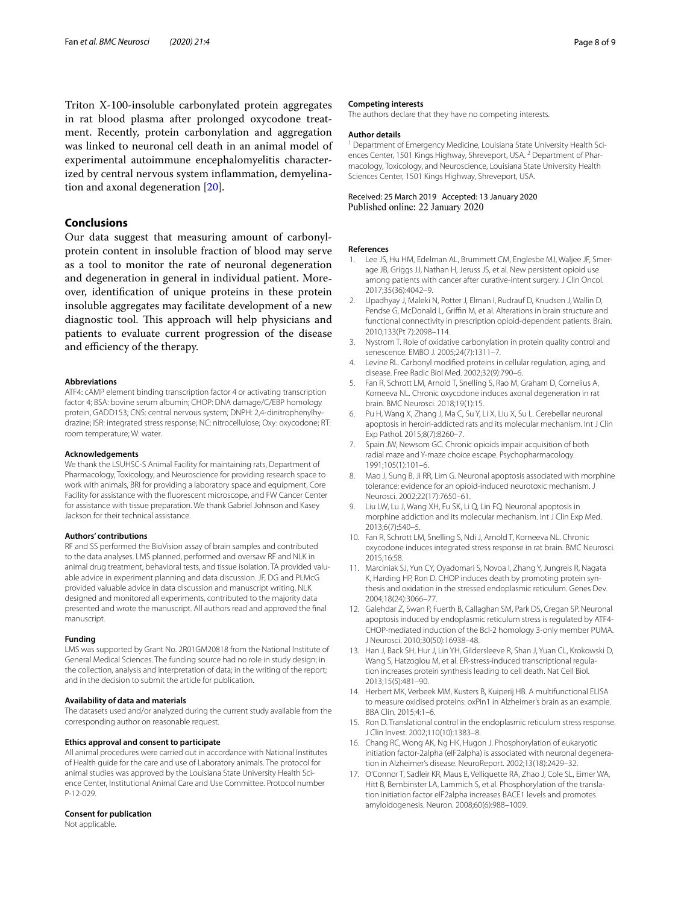Triton X-100-insoluble carbonylated protein aggregates in rat blood plasma after prolonged oxycodone treatment. Recently, protein carbonylation and aggregation was linked to neuronal cell death in an animal model of experimental autoimmune encephalomyelitis characterized by central nervous system infammation, demyelination and axonal degeneration [\[20\]](#page-8-1).

## **Conclusions**

Our data suggest that measuring amount of carbonylprotein content in insoluble fraction of blood may serve as a tool to monitor the rate of neuronal degeneration and degeneration in general in individual patient. Moreover, identifcation of unique proteins in these protein insoluble aggregates may facilitate development of a new diagnostic tool. This approach will help physicians and patients to evaluate current progression of the disease and efficiency of the therapy.

#### **Abbreviations**

ATF4: cAMP element binding transcription factor 4 or activating transcription factor 4; BSA: bovine serum albumin; CHOP: DNA damage/C/EBP homology protein, GADD153; CNS: central nervous system; DNPH: 2,4-dinitrophenylhydrazine; ISR: integrated stress response; NC: nitrocellulose; Oxy: oxycodone; RT: room temperature; W: water.

#### **Acknowledgements**

We thank the LSUHSC-S Animal Facility for maintaining rats, Department of Pharmacology, Toxicology, and Neuroscience for providing research space to work with animals, BRI for providing a laboratory space and equipment, Core Facility for assistance with the fuorescent microscope, and FW Cancer Center for assistance with tissue preparation. We thank Gabriel Johnson and Kasey Jackson for their technical assistance.

#### **Authors' contributions**

RF and SS performed the BioVision assay of brain samples and contributed to the data analyses. LMS planned, performed and oversaw RF and NLK in animal drug treatment, behavioral tests, and tissue isolation. TA provided valuable advice in experiment planning and data discussion. JF, DG and PLMcG provided valuable advice in data discussion and manuscript writing. NLK designed and monitored all experiments, contributed to the majority data presented and wrote the manuscript. All authors read and approved the fnal manuscript.

## **Funding**

LMS was supported by Grant No. 2R01GM20818 from the National Institute of General Medical Sciences. The funding source had no role in study design; in the collection, analysis and interpretation of data; in the writing of the report; and in the decision to submit the article for publication.

#### **Availability of data and materials**

The datasets used and/or analyzed during the current study available from the corresponding author on reasonable request.

### **Ethics approval and consent to participate**

All animal procedures were carried out in accordance with National Institutes of Health guide for the care and use of Laboratory animals. The protocol for animal studies was approved by the Louisiana State University Health Science Center, Institutional Animal Care and Use Committee. Protocol number P-12-029.

#### **Consent for publication**

Not applicable.

#### **Competing interests**

The authors declare that they have no competing interests.

### **Author details**

<sup>1</sup> Department of Emergency Medicine, Louisiana State University Health Sciences Center, 1501 Kings Highway, Shreveport, USA.<sup>2</sup> Department of Pharmacology, Toxicology, and Neuroscience, Louisiana State University Health Sciences Center, 1501 Kings Highway, Shreveport, USA.

Received: 25 March 2019 Accepted: 13 January 2020 Published online: 22 January 2020

#### **References**

- <span id="page-7-0"></span>1. Lee JS, Hu HM, Edelman AL, Brummett CM, Englesbe MJ, Waljee JF, Smerage JB, Griggs JJ, Nathan H, Jeruss JS, et al. New persistent opioid use among patients with cancer after curative-intent surgery. J Clin Oncol. 2017;35(36):4042–9.
- <span id="page-7-1"></span>2. Upadhyay J, Maleki N, Potter J, Elman I, Rudrauf D, Knudsen J, Wallin D, Pendse G, McDonald L, Griffin M, et al. Alterations in brain structure and functional connectivity in prescription opioid-dependent patients. Brain. 2010;133(Pt 7):2098–114.
- <span id="page-7-2"></span>3. Nystrom T. Role of oxidative carbonylation in protein quality control and senescence. EMBO J. 2005;24(7):1311–7.
- <span id="page-7-3"></span>4. Levine RL. Carbonyl modifed proteins in cellular regulation, aging, and disease. Free Radic Biol Med. 2002;32(9):790–6.
- <span id="page-7-4"></span>5. Fan R, Schrott LM, Arnold T, Snelling S, Rao M, Graham D, Cornelius A, Korneeva NL. Chronic oxycodone induces axonal degeneration in rat brain. BMC Neurosci. 2018;19(1):15.
- 6. Pu H, Wang X, Zhang J, Ma C, Su Y, Li X, Liu X, Su L. Cerebellar neuronal apoptosis in heroin-addicted rats and its molecular mechanism. Int J Clin Exp Pathol. 2015;8(7):8260–7.
- 7. Spain JW, Newsom GC. Chronic opioids impair acquisition of both radial maze and Y-maze choice escape. Psychopharmacology. 1991;105(1):101–6.
- 8. Mao J, Sung B, Ji RR, Lim G. Neuronal apoptosis associated with morphine tolerance: evidence for an opioid-induced neurotoxic mechanism. J Neurosci. 2002;22(17):7650–61.
- <span id="page-7-5"></span>Liu LW, Lu J, Wang XH, Fu SK, Li Q, Lin FQ. Neuronal apoptosis in morphine addiction and its molecular mechanism. Int J Clin Exp Med. 2013;6(7):540–5.
- <span id="page-7-6"></span>10. Fan R, Schrott LM, Snelling S, Ndi J, Arnold T, Korneeva NL. Chronic oxycodone induces integrated stress response in rat brain. BMC Neurosci. 2015;16:58.
- <span id="page-7-7"></span>11. Marciniak SJ, Yun CY, Oyadomari S, Novoa I, Zhang Y, Jungreis R, Nagata K, Harding HP, Ron D. CHOP induces death by promoting protein synthesis and oxidation in the stressed endoplasmic reticulum. Genes Dev. 2004;18(24):3066–77.
- 12. Galehdar Z, Swan P, Fuerth B, Callaghan SM, Park DS, Cregan SP. Neuronal apoptosis induced by endoplasmic reticulum stress is regulated by ATF4- CHOP-mediated induction of the Bcl-2 homology 3-only member PUMA. J Neurosci. 2010;30(50):16938–48.
- <span id="page-7-8"></span>13. Han J, Back SH, Hur J, Lin YH, Gildersleeve R, Shan J, Yuan CL, Krokowski D, Wang S, Hatzoglou M, et al. ER-stress-induced transcriptional regulation increases protein synthesis leading to cell death. Nat Cell Biol. 2013;15(5):481–90.
- <span id="page-7-9"></span>14. Herbert MK, Verbeek MM, Kusters B, Kuiperij HB. A multifunctional ELISA to measure oxidised proteins: oxPin1 in Alzheimer's brain as an example. BBA Clin. 2015;4:1–6.
- <span id="page-7-10"></span>15. Ron D. Translational control in the endoplasmic reticulum stress response. J Clin Invest. 2002;110(10):1383–8.
- <span id="page-7-11"></span>16. Chang RC, Wong AK, Ng HK, Hugon J. Phosphorylation of eukaryotic initiation factor-2alpha (eIF2alpha) is associated with neuronal degeneration in Alzheimer's disease. NeuroReport. 2002;13(18):2429–32.
- 17. O'Connor T, Sadleir KR, Maus E, Velliquette RA, Zhao J, Cole SL, Eimer WA, Hitt B, Bembinster LA, Lammich S, et al. Phosphorylation of the translation initiation factor eIF2alpha increases BACE1 levels and promotes amyloidogenesis. Neuron. 2008;60(6):988–1009.